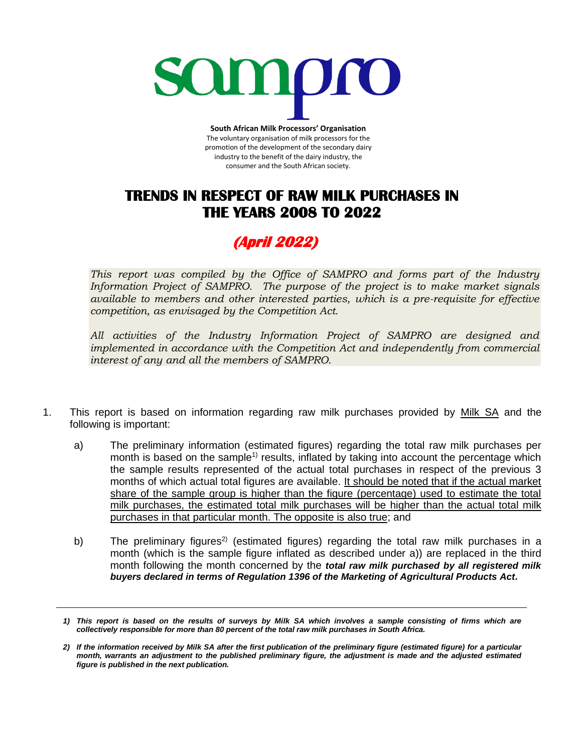

**South African Milk Processors' Organisation** The voluntary organisation of milk processors for the promotion of the development of the secondary dairy industry to the benefit of the dairy industry, the consumer and the South African society.

## **TRENDS IN RESPECT OF RAW MILK PURCHASES IN THE YEARS 2008 TO 2022**

## **(April 2022)**

*This report was compiled by the Office of SAMPRO and forms part of the Industry Information Project of SAMPRO. The purpose of the project is to make market signals available to members and other interested parties, which is a pre-requisite for effective competition, as envisaged by the Competition Act.* 

*All activities of the Industry Information Project of SAMPRO are designed and implemented in accordance with the Competition Act and independently from commercial interest of any and all the members of SAMPRO.*

- 1. This report is based on information regarding raw milk purchases provided by Milk SA and the following is important:
	- a) The preliminary information (estimated figures) regarding the total raw milk purchases per month is based on the sample<sup>1)</sup> results, inflated by taking into account the percentage which the sample results represented of the actual total purchases in respect of the previous 3 months of which actual total figures are available. It should be noted that if the actual market share of the sample group is higher than the figure (percentage) used to estimate the total milk purchases, the estimated total milk purchases will be higher than the actual total milk purchases in that particular month. The opposite is also true; and
	- b) The preliminary figures<sup>2)</sup> (estimated figures) regarding the total raw milk purchases in a month (which is the sample figure inflated as described under a)) are replaced in the third month following the month concerned by the *total raw milk purchased by all registered milk buyers declared in terms of Regulation 1396 of the Marketing of Agricultural Products Act.*

*<sup>1)</sup> This report is based on the results of surveys by Milk SA which involves a sample consisting of firms which are collectively responsible for more than 80 percent of the total raw milk purchases in South Africa.* 

*<sup>2)</sup> If the information received by Milk SA after the first publication of the preliminary figure (estimated figure) for a particular month, warrants an adjustment to the published preliminary figure, the adjustment is made and the adjusted estimated figure is published in the next publication.*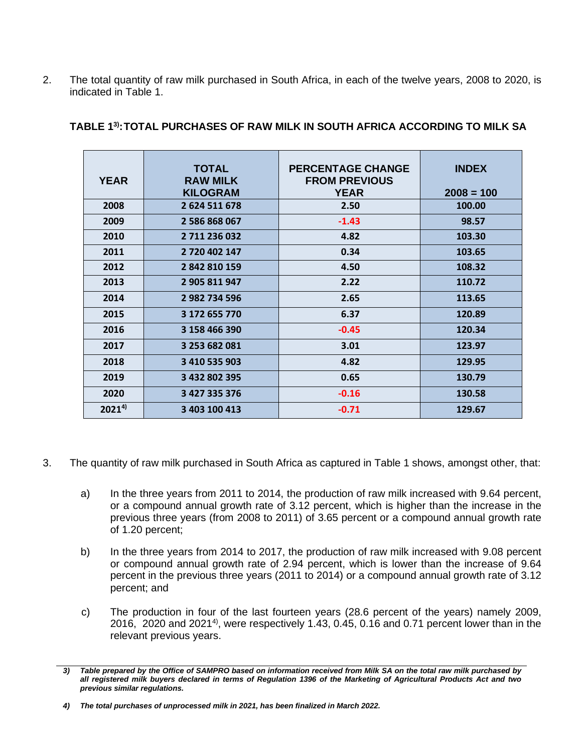2. The total quantity of raw milk purchased in South Africa, in each of the twelve years, 2008 to 2020, is indicated in Table 1.

| <b>YEAR</b> | <b>TOTAL</b><br><b>RAW MILK</b><br><b>KILOGRAM</b> | <b>PERCENTAGE CHANGE</b><br><b>FROM PREVIOUS</b><br><b>YEAR</b> | <b>INDEX</b><br>$2008 = 100$ |
|-------------|----------------------------------------------------|-----------------------------------------------------------------|------------------------------|
| 2008        | 2 624 511 678                                      | 2.50                                                            | 100.00                       |
| 2009        | 2 586 868 067                                      | $-1.43$                                                         | 98.57                        |
| 2010        | 2 711 236 032                                      | 4.82                                                            | 103.30                       |
| 2011        | 2 720 402 147                                      | 0.34                                                            | 103.65                       |
| 2012        | 2 842 810 159                                      | 4.50                                                            | 108.32                       |
| 2013        | 2 905 811 947                                      | 2.22                                                            | 110.72                       |
| 2014        | 2 982 734 596                                      | 2.65                                                            | 113.65                       |
| 2015        | 3 172 655 770                                      | 6.37                                                            | 120.89                       |
| 2016        | 3 158 466 390                                      | $-0.45$                                                         | 120.34                       |
| 2017        | 3 253 682 081                                      | 3.01                                                            | 123.97                       |
| 2018        | 3 410 535 903                                      | 4.82                                                            | 129.95                       |
| 2019        | 3 432 802 395                                      | 0.65                                                            | 130.79                       |
| 2020        | 3 427 335 376                                      | $-0.16$                                                         | 130.58                       |
| $2021^{4}$  | 3 403 100 413                                      | $-0.71$                                                         | 129.67                       |

## **TABLE 1 3) :TOTAL PURCHASES OF RAW MILK IN SOUTH AFRICA ACCORDING TO MILK SA**

- 3. The quantity of raw milk purchased in South Africa as captured in Table 1 shows, amongst other, that:
	- a) In the three years from 2011 to 2014, the production of raw milk increased with 9.64 percent, or a compound annual growth rate of 3.12 percent, which is higher than the increase in the previous three years (from 2008 to 2011) of 3.65 percent or a compound annual growth rate of 1.20 percent;
	- b) In the three years from 2014 to 2017, the production of raw milk increased with 9.08 percent or compound annual growth rate of 2.94 percent, which is lower than the increase of 9.64 percent in the previous three years (2011 to 2014) or a compound annual growth rate of 3.12 percent; and
	- c) The production in four of the last fourteen years (28.6 percent of the years) namely 2009, 2016, 2020 and 2021<sup>4)</sup>, were respectively 1.43, 0.45, 0.16 and 0.71 percent lower than in the relevant previous years.

*<sup>3)</sup> Table prepared by the Office of SAMPRO based on information received from Milk SA on the total raw milk purchased by all registered milk buyers declared in terms of Regulation 1396 of the Marketing of Agricultural Products Act and two previous similar regulations.*

*<sup>4)</sup> The total purchases of unprocessed milk in 2021, has been finalized in March 2022.*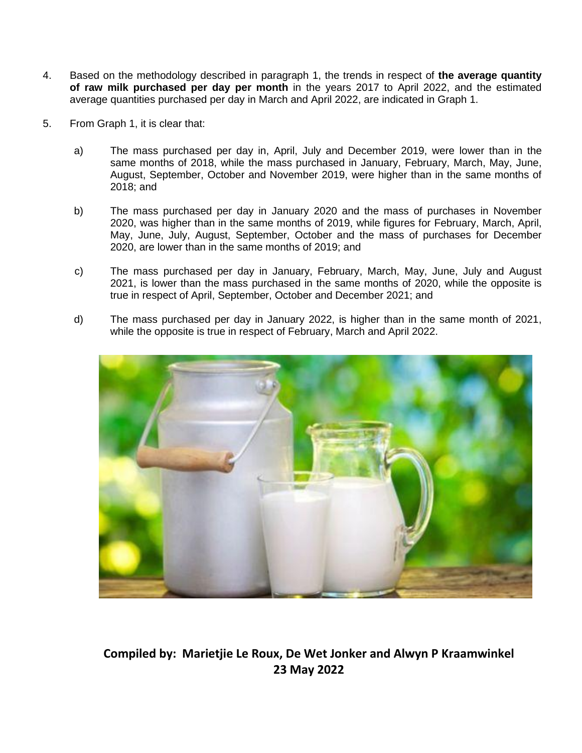- 4. Based on the methodology described in paragraph 1, the trends in respect of **the average quantity of raw milk purchased per day per month** in the years 2017 to April 2022, and the estimated average quantities purchased per day in March and April 2022, are indicated in Graph 1.
- 5. From Graph 1, it is clear that:
	- a) The mass purchased per day in, April, July and December 2019, were lower than in the same months of 2018, while the mass purchased in January, February, March, May, June, August, September, October and November 2019, were higher than in the same months of 2018; and
	- b) The mass purchased per day in January 2020 and the mass of purchases in November 2020, was higher than in the same months of 2019, while figures for February, March, April, May, June, July, August, September, October and the mass of purchases for December 2020, are lower than in the same months of 2019; and
	- c) The mass purchased per day in January, February, March, May, June, July and August 2021, is lower than the mass purchased in the same months of 2020, while the opposite is true in respect of April, September, October and December 2021; and
	- d) The mass purchased per day in January 2022, is higher than in the same month of 2021, while the opposite is true in respect of February, March and April 2022.



**Compiled by: Marietjie Le Roux, De Wet Jonker and Alwyn P Kraamwinkel 23 May 2022**